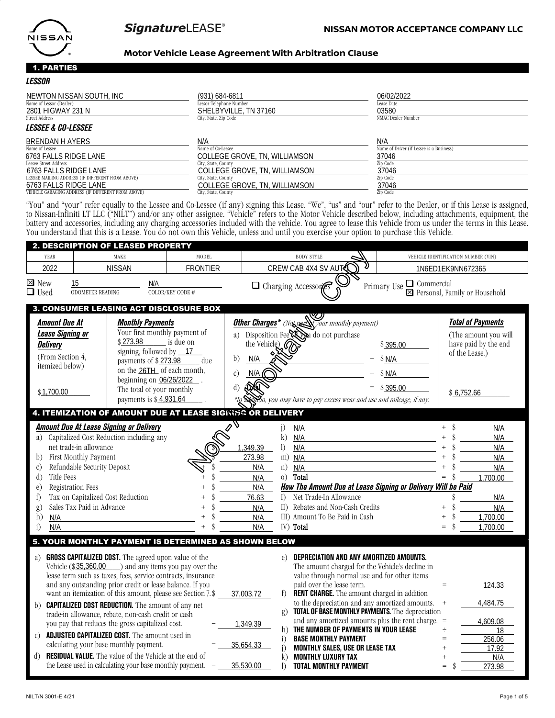

D.u.

# **SignatureLEASE®**

#### **Motor Vehicle Lease Agreement With Arbitration Clause**

#### 1. PARTIES

| <i><b>LESSOR</b></i>                               |                               |                                          |  |
|----------------------------------------------------|-------------------------------|------------------------------------------|--|
| NEWTON NISSAN SOUTH, INC                           | (931) 684-6811                | 06/02/2022                               |  |
| Name of Lessor (Dealer)                            | Lessor Telephone Number       | Lease Date                               |  |
| 2801 HIGWAY 231 N                                  | SHELBYVILLE, TN 37160         | 03580                                    |  |
| Street Address                                     | City, State, Zip Code         | NMAC Dealer Number                       |  |
| <b>LESSEE &amp; CO-LESSEE</b>                      |                               |                                          |  |
| BRENDAN H AYERS                                    | N/A                           | N/A                                      |  |
| Name of Lessee                                     | Name of Co-Lessee             | Name of Driver (if Lessee is a Business) |  |
| 6763 FALLS RIDGE LANE                              | COLLEGE GROVE, TN, WILLIAMSON | 37046                                    |  |
| Lessee Street Address                              | City, State, County           | Zip Code                                 |  |
| 6763 FALLS RIDGE LANE                              | COLLEGE GROVE, TN, WILLIAMSON | 37046                                    |  |
| LESSEE MAILING ADDRESS (IF DIFFERENT FROM ABOVE)   | City, State, County           | Zip Code                                 |  |
| 6763 FALLS RIDGE LANE                              | COLLEGE GROVE, TN, WILLIAMSON | 37046                                    |  |
| VEHICLE GARAGING ADDRESS (IF DIFFERENT FROM ABOVE) | City, State, County           | Zip Code                                 |  |

"You" and "your" refer equally to the Lessee and Co-Lessee (if any) signing this Lease. "We", "us" and "our" refer to the Dealer, or if this Lease is assigned, to Nissan-Infiniti LT LLC ("NILT") and/or any other assignee. "Vehicle" refers to the Motor Vehicle described below, including attachments, equipment, the battery and accessories, including any charging accessories included with the vehicle. You agree to lease this Vehicle from us under the terms in this Lease. You understand that this is a Lease. You do not own this Vehicle, unless and until you exercise your option to purchase this Vehicle.

|                                                                             |                                                                                                      |                                                                                                                                  | 2. DESCRIPTION OF LEASED PROPERTY                                                                                                                                                                                                                                                                                                                                                                                                                                                                                                                                                                                                                           |                                                                        |                             |                                                                                                                    |                                                                                                                                                                                                                                                                                                                                                                                                                                                        |                                                                                                                |           |                                                                                                          |
|-----------------------------------------------------------------------------|------------------------------------------------------------------------------------------------------|----------------------------------------------------------------------------------------------------------------------------------|-------------------------------------------------------------------------------------------------------------------------------------------------------------------------------------------------------------------------------------------------------------------------------------------------------------------------------------------------------------------------------------------------------------------------------------------------------------------------------------------------------------------------------------------------------------------------------------------------------------------------------------------------------------|------------------------------------------------------------------------|-----------------------------|--------------------------------------------------------------------------------------------------------------------|--------------------------------------------------------------------------------------------------------------------------------------------------------------------------------------------------------------------------------------------------------------------------------------------------------------------------------------------------------------------------------------------------------------------------------------------------------|----------------------------------------------------------------------------------------------------------------|-----------|----------------------------------------------------------------------------------------------------------|
| YEAR                                                                        |                                                                                                      | MAKE<br>MODEL                                                                                                                    |                                                                                                                                                                                                                                                                                                                                                                                                                                                                                                                                                                                                                                                             |                                                                        | <b>BODY STYLE</b>           |                                                                                                                    |                                                                                                                                                                                                                                                                                                                                                                                                                                                        | VEHICLE IDENTIFICATION NUMBER (VIN)                                                                            |           |                                                                                                          |
| 2022                                                                        |                                                                                                      |                                                                                                                                  | <b>NISSAN</b>                                                                                                                                                                                                                                                                                                                                                                                                                                                                                                                                                                                                                                               | <b>FRONTIER</b>                                                        |                             |                                                                                                                    | CREW CAB 4X4 SV AUT                                                                                                                                                                                                                                                                                                                                                                                                                                    |                                                                                                                |           | 1N6ED1EK9NN672365                                                                                        |
| $\boxtimes$ New<br>$\Box$ Used                                              |                                                                                                      | 15<br><b>ODOMETER READING</b>                                                                                                    | N/A                                                                                                                                                                                                                                                                                                                                                                                                                                                                                                                                                                                                                                                         | COLOR/KEY CODE #                                                       |                             |                                                                                                                    | Charging Accessores                                                                                                                                                                                                                                                                                                                                                                                                                                    | Primary Use <b>□</b> Commercial                                                                                |           | ⊠ Personal, Family or Household                                                                          |
| <b>Delivery</b>                                                             | <b>Amount Due At</b><br><b>Lease Signing or</b><br>(From Section 4.<br>itemized below)<br>\$1,700.00 |                                                                                                                                  | 3. CONSUMER LEASING ACT DISCLOSURE BOX<br><b>Monthly Payments</b><br>Your first monthly payment of<br>\$273.98<br>signing, followed by $\_\$ {17}<br>payments of \$273.98<br>on the 26TH_ of each month,<br>beginning on $06/26/2022$ .<br>The total of your monthly<br>payments is \$4,931.64                                                                                                                                                                                                                                                                                                                                                              | is due on<br>due                                                       | b)<br>$\mathcal{C}$ )<br>d) | the Vehicle) $\varnothing$<br>N/A<br>N/A                                                                           | <b>Other Charges</b> <sup>*</sup> (Not per your monthly payment)<br>a) Disposition Fee Al pu do not purchase<br>.<br>n, you may have to pay excess wear and use and mileage, if any.                                                                                                                                                                                                                                                                   | \$395.00<br>\$N/A<br>\$ N/A<br>\$395.00                                                                        |           | <b>Total of Payments</b><br>(The amount you will<br>have paid by the end<br>of the Lease.)<br>\$6,752.66 |
|                                                                             |                                                                                                      |                                                                                                                                  |                                                                                                                                                                                                                                                                                                                                                                                                                                                                                                                                                                                                                                                             | 4. ITEMIZATION OF AMOUNT DUE AT LEASE SIGNING OR DELIVERY              |                             |                                                                                                                    |                                                                                                                                                                                                                                                                                                                                                                                                                                                        |                                                                                                                |           |                                                                                                          |
| a)<br>b)<br>C)<br>$\rm d$<br>e)<br>$\ddagger$<br>$\mathbf{g}$ )<br>h)<br>i) | Title Fees<br>N/A<br>N/A                                                                             | net trade-in allowance<br>First Monthly Payment<br>Refundable Security Deposit<br>Registration Fees<br>Sales Tax Paid in Advance | <b>Amount Due At Lease Signing or Delivery</b><br>Capitalized Cost Reduction including any<br>Tax on Capitalized Cost Reduction                                                                                                                                                                                                                                                                                                                                                                                                                                                                                                                             |                                                                        |                             | $\mathbf{i}$<br>k)<br>1,349.39<br>$\mathcal{D}$<br>273.98<br>N/A<br>n)<br>N/A<br>N/A<br>76.63<br>N/A<br>N/A<br>N/A | N/A<br>N/A<br>N/A<br>m) N/A<br>N/A<br>o) Total<br>I) Net Trade-In Allowance<br>II) Rebates and Non-Cash Credits<br>III) Amount To Be Paid in Cash<br>IV) Total                                                                                                                                                                                                                                                                                         | How The Amount Due at Lease Signing or Delivery Will be Paid                                                   |           | N/A<br>N/A<br>N/A<br>N/A<br>N/A<br>1,700.00<br>N/A<br>N/A<br>1,700.00<br>1,700.00                        |
|                                                                             |                                                                                                      |                                                                                                                                  |                                                                                                                                                                                                                                                                                                                                                                                                                                                                                                                                                                                                                                                             | 5. YOUR MONTHLY PAYMENT IS DETERMINED AS SHOWN BELOW                   |                             |                                                                                                                    |                                                                                                                                                                                                                                                                                                                                                                                                                                                        |                                                                                                                |           |                                                                                                          |
| a)<br>b)<br>$\mathcal{C}$                                                   |                                                                                                      |                                                                                                                                  | <b>GROSS CAPITALIZED COST.</b> The agreed upon value of the<br>Vehicle $(\$35,360.00)$ and any items you pay over the<br>lease term such as taxes, fees, service contracts, insurance<br>and any outstanding prior credit or lease balance. If you<br>want an itemization of this amount, please see Section 7.\$<br><b>CAPITALIZED COST REDUCTION.</b> The amount of any net<br>trade-in allowance, rebate, non-cash credit or cash<br>you pay that reduces the gross capitalized cost.<br><b>ADJUSTED CAPITALIZED COST.</b> The amount used in<br>calculating your base monthly payment.<br><b>RESIDUAL VALUE.</b> The value of the Vehicle at the end of | the Lease used in calculating your base monthly payment. $-$ 35,530.00 |                             | e)<br>37,003.72<br>f)<br>g)<br>1,349.39<br>h)<br>i)<br>35,654.33<br>i)<br>$\bf k$<br>$\mathcal{D}$                 | DEPRECIATION AND ANY AMORTIZED AMOUNTS.<br>The amount charged for the Vehicle's decline in<br>value through normal use and for other items<br>paid over the lease term.<br>RENT CHARGE. The amount charged in addition<br>to the depreciation and any amortized amounts.<br>THE NUMBER OF PAYMENTS IN YOUR LEASE<br><b>BASE MONTHLY PAYMENT</b><br><b>MONTHLY SALES, USE OR LEASE TAX</b><br><b>MONTHLY LUXURY TAX</b><br><b>TOTAL MONTHLY PAYMENT</b> | <b>TOTAL OF BASE MONTHLY PAYMENTS.</b> The depreciation<br>and any amortized amounts plus the rent charge. $=$ | $\ddot{}$ | 124.33<br>4,484.75<br>4.609.08<br>18<br>256.06<br>17.92<br>N/A<br>273.98                                 |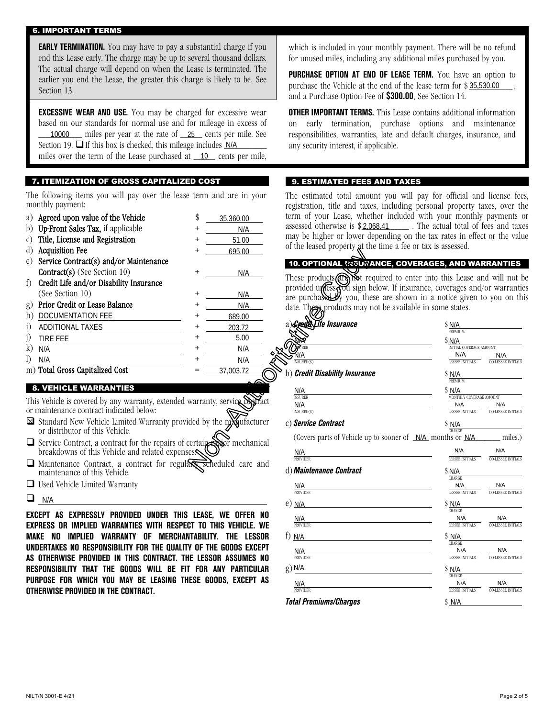#### 6. IMPORTANT TERMS

**EARLY TERMINATION.** You may have to pay a substantial charge if you end this Lease early. The charge may be up to several thousand dollars. The actual charge will depend on when the Lease is terminated. The earlier you end the Lease, the greater this charge is likely to be. See Section 13.

**EXCESSIVE WEAR AND USE.** You may be charged for excessive wear based on our standards for normal use and for mileage in excess of 10000 miles per year at the rate of <u>25</u> cents per mile. See Section 19.  $\Box$  If this box is checked, this mileage includes  $N/A$ miles over the term of the Lease purchased at <u>10</u> cents per mile,

### 7. ITEMIZATION OF GROSS CAPITALIZED COST

The following items you will pay over the lease term and are in your monthly payment:

| a)           | Agreed upon value of the Vehicle        | \$             | 35,360.00 |  |
|--------------|-----------------------------------------|----------------|-----------|--|
| b)           | Up-Front Sales Tax, if applicable       | $\pm$          | N/A       |  |
| C)           | Title, License and Registration         | $^+$           | 51.00     |  |
| $\rm d$      | <b>Acquisition Fee</b>                  | $^{+}$         | 695.00    |  |
| e)           | Service Contract(s) and/or Maintenance  |                |           |  |
|              | Contract(s) (See Section 10)            | $^{+}$         | N/A       |  |
| t)           | Credit Life and/or Disability Insurance |                |           |  |
|              | (See Section 10)                        | $\ddot{}$      | N/A       |  |
| g)           | Prior Credit or Lease Balance           | $\pm$          | N/A       |  |
| h)           | DOCUMENTATION FEE                       | $\pm$          | 689.00    |  |
| i)           | <b>ADDITIONAL TAXES</b>                 | $\pm$          | 203.72    |  |
|              | TIRE FEE                                | $^+$           | 5.00      |  |
| $\mathbf{k}$ | N/A                                     | $\overline{+}$ | N/A       |  |
|              | N/A                                     | $\pm$          | N/A       |  |
|              | m) Total Gross Capitalized Cost         |                | 37,003.72 |  |

### 8. VEHICLE WARRANTIES

This Vehicle is covered by any warranty, extended warranty, service contract or maintenance contract indicated below:

- $\boxtimes$  Standard New Vehicle Limited Warranty provided by the my ufacturer or distributor of this Vehicle.
- $\Box$  Service Contract, a contract for the repairs of certain  $\otimes$  mechanical breakdowns of this Vehicle and related expenses.
- $\Box$  Maintenance Contract, a contract for regularly scheduled care and maintenance of this Vehicle.
- □ Used Vehicle Limited Warranty
- $\Box$  N/A

**EXCEPT AS EXPRESSLY PROVIDED UNDER THIS LEASE, WE OFFER NO EXPRESS OR IMPLIED WARRANTIES WITH RESPECT TO THIS VEHICLE. WE MAKE NO IMPLIED WARRANTY OF MERCHANTABILITY. THE LESSOR UNDERTAKES NO RESPONSIBILITY FOR THE QUALITY OF THE GOODS EXCEPT AS OTHERWISE PROVIDED IN THIS CONTRACT. THE LESSOR ASSUMES NO RESPONSIBILITY THAT THE GOODS WILL BE FIT FOR ANY PARTICULAR PURPOSE FOR WHICH YOU MAY BE LEASING THESE GOODS, EXCEPT AS OTHERWISE PROVIDED IN THE CONTRACT.**

which is included in your monthly payment. There will be no refund for unused miles, including any additional miles purchased by you.

**PURCHASE OPTION AT END OF LEASE TERM.** You have an option to purchase the Vehicle at the end of the lease term for  $$35,530.00$ , and a Purchase Option Fee of **\$300.00**. See Section 14.

**OTHER IMPORTANT TERMS.** This Lease contains additional information on early termination, purchase options and maintenance responsibilities, warranties, late and default charges, insurance, and any security interest, if applicable.

#### 9. ESTIMATED FEES AND TAXES

The estimated total amount you will pay for official and license fees, registration, title and taxes, including personal property taxes, over the term of your Lease, whether included with your monthly payments or  $\frac{1}{\sqrt{2}}$  . The actual total of fees and taxes may be higher or lower depending on the tax rates in effect or the value of the leased property at the time a fee or tax is assessed. assessed otherwise is \$2,068.41

### 10. OPTIONAL *IRSUNANCE, COVERAGES, AND WARRANTIES*

| $\,{}^+$                                                 | 695.00                     |                                                                           |                                  |                                  |
|----------------------------------------------------------|----------------------------|---------------------------------------------------------------------------|----------------------------------|----------------------------------|
|                                                          |                            | 10. OPTIONAL MSUNANCE, COVERAGES, AND WARRANTIES                          |                                  |                                  |
| +                                                        | N/A                        | These products (and not required to enter into this Lease and will not be |                                  |                                  |
|                                                          |                            | provided unless you sign below. If insurance, coverages and/or warrantie  |                                  |                                  |
| $^+$                                                     | N/A                        | are purchased by you, these are shown in a notice given to you on thi     |                                  |                                  |
| $\,{}^{+}\,$                                             | N/A                        | date. These products may not be available in some states.                 |                                  |                                  |
| $^{\mathrm{+}}$                                          | 689.00                     |                                                                           |                                  |                                  |
|                                                          | 203.72                     | a) <b>:Credit:Life Insurance</b>                                          | \$N/A<br>PREMIUM                 |                                  |
| +                                                        | 5.00                       |                                                                           | \$ N/A                           |                                  |
|                                                          | N/A                        |                                                                           | INITIAL COVERAGE AMOUNT          |                                  |
| $^+$                                                     | N/A                        | NSURED(S)                                                                 | N/A<br>LESSEE INITIALS           | N/A<br><b>CO-LESSEE INITIALS</b> |
|                                                          | 37,003.72                  | b) Credit Disability Insurance                                            | \$ N/A                           |                                  |
|                                                          |                            |                                                                           | PREMIUM                          |                                  |
|                                                          |                            | N/A<br><b>INSURER</b>                                                     | \$N/A<br>MONTHLY COVERAGE AMOUNT |                                  |
|                                                          | warranty, service contract | N/A                                                                       | N/A                              | N/A                              |
|                                                          |                            | INSURED(S)                                                                | LESSEE INITIALS                  | <b>CO-LESSEE INITIALS</b>        |
|                                                          | ded by the myndfacturer    | c) Service Contract                                                       | \$ N/A                           |                                  |
|                                                          |                            | (Covers parts of Vehicle up to sooner of $N/A$ months or $N/A$ mulles.)   | <b>CHARGE</b>                    |                                  |
| certain <del>an</del><br>$\mathop{\mathrm{es}}\nolimits$ | sior mechanical            |                                                                           | N/A                              | N/A                              |
|                                                          |                            | $N/A$<br>PROVIDER                                                         | <b>LESSEE INITIALS</b>           | <b>CO-LESSEE INITIALS</b>        |
|                                                          | scheduled care and         | d) Maintenance Contract                                                   | \$N/A                            |                                  |
|                                                          |                            |                                                                           | <b>CHARGE</b>                    |                                  |
|                                                          |                            | $\frac{N/A}{PROVIDER}$                                                    | N/A<br><b>LESSEE INITIALS</b>    | N/A<br><b>CO-LESSEE INITIALS</b> |
|                                                          |                            | $e)$ N/A                                                                  | \$N/A                            |                                  |
|                                                          | LEASE, WE OFFER NO         |                                                                           | CHARGE                           |                                  |
|                                                          | CT TO THIS VEHICLE. WE     | $\frac{N/A}{PROVIDER}$                                                    | N/A<br><b>LESSEE INITIALS</b>    | N/A<br><b>CO-LESSEE INITIALS</b> |
| <b>NTABILITY.</b>                                        | LESSOR<br><b>THE</b>       | $f)$ N/A                                                                  | \$N/A                            |                                  |
|                                                          | y of the goods except      |                                                                           | <b>CHARGE</b>                    |                                  |
|                                                          | IE LESSOR ASSUMES NO       | N/A<br><b>PROVIDER</b>                                                    | N/A<br><b>LESSEE INITIALS</b>    | N/A<br><b>CO-LESSEE INITIALS</b> |
|                                                          | T FOR ANY PARTICULAR       | $g)$ N/A                                                                  | \$N/A                            |                                  |
|                                                          | IESE GOODS, EXCEPT AS      |                                                                           | <b>CHARGE</b>                    |                                  |
|                                                          |                            | N/A<br><b>PROVIDER</b>                                                    | N/A<br><b>LESSEE INITIALS</b>    | N/A<br><b>CO-LESSEE INITIALS</b> |
|                                                          |                            | <b>Total Premiums/Charges</b>                                             | \$ N/A                           |                                  |
|                                                          |                            |                                                                           |                                  |                                  |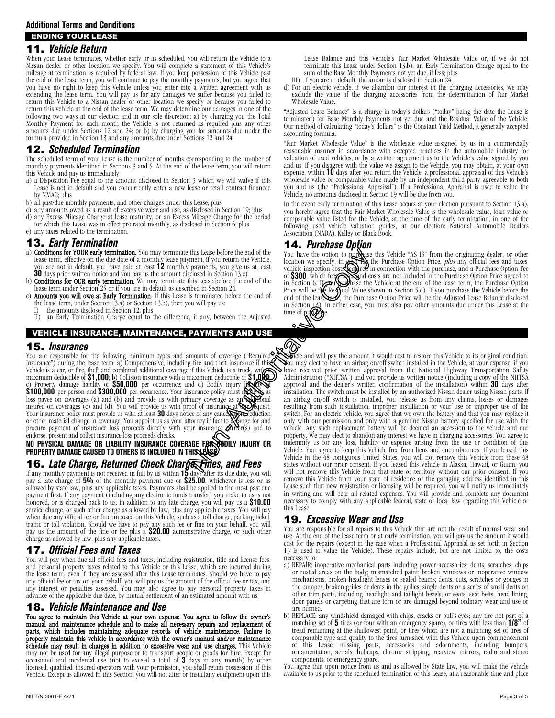11. *Vehicle Return*

#### When your Lease terminates, whether early or as scheduled, you will return the Vehicle to a Nissan dealer or other location we specify. You will complete a statement of this Vehicle's mileage at termination as required by federal law. If you keep possession of this Vehicle past the end of the lease term, you will continue to pay the monthly payments, but you agree that you have no right to keep this Vehicle unless you enter into a written agreement with us extending the lease term. You will pay us for any damages we suffer because you failed to return this Vehicle to a Nissan dealer or other location we specify or because you failed to return this vehicle at the end of the lease term. We may determine our damages in one of the following two ways at our election and in our sole discretion: a) by charging you the Total Monthly Payment for each month the Vehicle is not returned as required plus any other amounts due under Sections 12 and 24; or b) by charging you for amounts due under the formula provided in Section 13 and any amounts due under Sections 12 and 24.

## 12. *Scheduled Termination*

The scheduled term of your Lease is the number of months corresponding to the number of monthly payments identified in Sections 3 and 5. At the end of the lease term, you will return this Vehicle and pay us immediately:

- a) a Disposition Fee equal to the amount disclosed in Section 3 which we will waive if this Lease is not in default and you concurrently enter a new lease or retail contract financed by NMAC; plus
- b) all past-due monthly payments, and other charges under this Lease; plus
- any amounts owed as a result of excessive wear and use, as disclosed in Section 19; plus d) any Excess Mileage Charge at lease maturity, or an Excess Mileage Charge for the period
- for which this Lease was in effect pro-rated monthly, as disclosed in Section 6; plus e) any taxes related to the termination.
- 13. *Early Termination*
- a) **Conditions for YOUR early termination.** You may terminate this Lease before the end of the lease term, effective on the due date of a monthly lease payment, if you return the Vehicle, you are not in default, you have paid at least **12** monthly payments, you give us at least **30** days prior written notice and you pay us the amount disclosed in Section 13.c).
- b) **Conditions for OUR early termination.** We may terminate this Lease before the end of the lease term under Section 25 or if you are in default as described in Section 24.
- lease term under Section 25 or if you are in default as described in Section 24.<br>c) **Amounts you will owe at Early Termination**. If this Lease is terminated before the end of the lease term, under Section 13.a) or Section 13.b), then you will pay us:<br>I) the amounts disclosed in Section 12; plus
- 
- II) an Early Termination Charge equal to the difference, if any, between the Adjusted

## VEHICLE INSURANCE, MAINTENANCE, PAYMENTS AND USE

#### 15. *Insurance*

Insurance") during the lease term: a) Comprehensive, including fire and theft insurance if this Vehicle is a car, or fire, theft and combined additional coverage if this Vehicle is a truck, with and maximum deductible of \$1,000; b) Collision insurance with a maximum deductible of \$1,000;<br>c) Property damage liability of \$50,000 per occurrence; and d) Bodily injury list to \$100,000 per person and \$300,000 per occurrenc Ios payee on coverages (a) and (b) and provide us with primary coverage as an **Schedular** insured on coverages (c) and (d). You will provide us with proof of insurance at **SO** days notice of any cancellation, reduction, re For other material change in coverage. You appoint us as your attorney-in-fact to  $\chi$  ange for and procure payment of insurance loss proceeds directly with your insurance  $\chi$  and to endorse, present and collect insurance loss proceeds checks.

**NO PHYSICAL DAMAGE OR LIABILITY INSURANCE COVERAGE FOR BODILY INJURY OR PROPERTY DAMAGE CAUSED TO OTHERS IS INCLUDED IN THIS LEASE.**

# 16. *Late Charge, Returned Check Charge, Fines, and Fees*

If any monthly payment is not received in full by us within **15** days after its due date, you will pay a late charge of **5%** of the monthly payment due or **\$25.00**, whichever is less or as allowed by state law, plus any applicable taxes. Payments shall be applied to the most past-due payment first. If any payment (including any electronic funds transfer) you make to us is not<br>honored, or is charged back to us, in addition to any late charge, you will pay us a \$10.00<br>service charge, or such other charge when due any official fee or fine imposed on this Vehicle, such as a toll charge, parking ticket, traffic or toll violation. Should we have to pay any such fee or fine on your behalf, you will<br>pay us the amount of the fine or fee plus a \$20.00 administrative charge, or such other<br>charge as allowed by law, plus any appl

# 17. *Official Fees and Taxes*

You will pay when due all official fees and taxes, including registration, title and license fees, and personal property taxes related to this Vehicle or this Lease, which are incurred during the lease term, even if they are assessed after this Lease terminates. Should we have to pay any official fee or tax on your behalf, you will pay us the amount of the official fee or tax, and any interest or penalties assessed. You may also agree to pay personal property taxes in advance of the applicable due date, by mutual settlement of an estimated amount with us.

### 18. *Vehicle Maintenance and Use*

You agree to maintain this Vehicle at your own expense. You agree to follow the owner's manual and maintenance schedule and to make all necessary repairs and replacement of parts, which includes maintaining adequate records of vehicle maintenance. Failure to properly maintain this vehicle in accordance with the owner's manual and/or maintenance schedule may result in charges in addition to excessive wear and use charges. This Vehicle may not be used for any illegal purpose or to transport people or goods for hire. Except for occasional and incidental use (not to exceed a total of **3** days in any month) by other licensed, qualified, insured operators with your permission, you shall retain possession of this Vehicle. Except as allowed in this Section, you will not alter or installany equipment upon this

- III) if you are in default, the amounts disclosed in Section 24.
- d) For an electric vehicle, if we abandon our interest in the charging accessories, we may exclude the value of the charging accessories from the determination of Fair Market Wholesale Value.

"Adjusted Lease Balance" is a charge in today's dollars ("today" being the date the Lease is terminated) for Base Monthly Payments not yet due and the Residual Value of the Vehicle. Our method of calculating "today's dollars" is the Constant Yield Method, a generally accepted accounting formula.

"Fair Market Wholesale Value" is the wholesale value assigned by us in a commercially reasonable manner in accordance with accepted practices in the automobile industry for valuation of used vehicles, or by a written agreement as to the Vehicle's value signed by you and us. If you disagree with the value we assign to the Vehicle, you may obtain, at your own<br>expense, within **10** days after you return the Vehicle, a professional appraisal of this Vehicle's<br>wholesale value or comparable you and us (the "Professional Appraisal"). If a Professional Appraisal is used to value the Vehicle, no amounts disclosed in Section 19 will be due from you.

In the event early termination of this Lease occurs at your election pursuant to Section 13.a), you hereby agree that the Fair Market Wholesale Value is the wholesale value, loan value or comparable value listed for the Vehicle, at the time of the early termination, in one of the following used vehicle valuation guides, at our election: National Automobile Dealers Association (NADA), Kelley or Black Book.

# 14. *Purchase Option*

You have the option to purchase this Vehicle "AS IS" from the originating dealer, or other location we specify, in  $\sum_{n=1}^{\infty}$  the Purchase Option Price, *plus* any official fees and taxes, vehicle inspection costs seg Price will be the Res**N**ual Value shown in Section 5.d). If you purchase the Vehicle before the end of the leased the Purchase Option Price will be the Adjusted Lease Balance disclosed<br>in Section 13). In either case, you must also pay other amounts due under this Lease at the time of pu**rchase**.

You are responsible for the following minimum types and amounts of coverage ("Required and will pay the amount it would cost to restore this Vehicle to its original condition. You may elect to have an airbag on/off switch installed in the Vehicle, at your expense, if you have received prior written approval from the National Highway Transportation Safety Administration ("NHTSA") and you provide us written notice (including a copy of the NHTSA<br>approval and the dealer's written confirmation of the installation) within **30** days after<br>installation. The switch must be installe an airbag on/off switch is installed, you release us from any claims, losses or damages resulting from such installation, improper installation or your use or improper use of the switch. For an electric vehicle, you agree that we own the battery and that you may replace it only with our permission and only with a genuine Nissan battery specified for use with the vehicle. Any such replacement battery will be deemed an accession to the vehicle and our property. We may elect to abandon any interest we have in charging accessories. You agree to indemnify us for any loss, liability or expense arising from the use or condition of this Vehicle. You agree to keep this Vehicle free from liens and encumbrances. If you leased this Vehicle in the 48 contiguous United States, you will not remove this Vehicle from these 48 states without our prior consent. If you leased this Vehicle in Alaska, Hawaii, or Guam, you will not remove this Vehicle from that state or territory without our prior consent. If you remove this Vehicle from your state of residence or the garaging address identified in this Lease such that new registration or licensing will be required, you will notify us immediately in writing and will bear all related expenses. You will provide and complete any document necessary to comply with any applicable federal, state or local law regarding this Vehicle or this Lease. this Lease before the end of the You have the option to purchase<br>  $\mu$  payments, you give us at least<br>  $\mu$  payments, you give us at least<br>  $\mu$  payments, you give us at least<br>  $\mu$  payments, you give us at least<br>  $\mu$  pa

# 19. *Excessive Wear and Use*

You are responsible for all repairs to this Vehicle that are not the result of normal wear and use. At the end of the lease term or at early termination, you will pay us the amount it would cost for the repairs (except in the case when a Professional Appraisal as set forth in Section 13 is used to value the Vehicle). These repairs include, but are not limited to, the costs necessary to:

- a) REPAIR: inoperative mechanical parts including power accessories; dents, scratches, chips or rusted areas on the body; mismatched paint; broken windows or inoperative window mechanisms; broken headlight lenses or sealed beams; dents, cuts, scratches or gouges in the bumper; broken grilles or dents in the grilles; single dents or a series of small dents on other trim parts, including headlight and taillight bezels; or seats, seat belts, head lining, door panels or carpeting that are torn or are damaged beyond ordinary wear and use or
- are burned.<br>b) REPLACE: any windshield damaged with chips, cracks or bull's-eyes; any tire not part of a matching set of **5** tires (or four with an emergency spare), or tires with less than 1/8" of tread remaining at the shallowest point, or tires which are not a matching set of tires of comparable type and quality to the tires furnished with this Vehicle upon commencement of this Lease; missing parts, accessories and adornments, including bumpers, ornamentation, aerials, hubcaps, chrome stripping, rearview mirrors, radio and stereo components, or emergency spare. You agree that upon notice from us and as allowed by State law, you will make the Vehicle

available to us prior to the scheduled termination of this Lease, at a reasonable time and place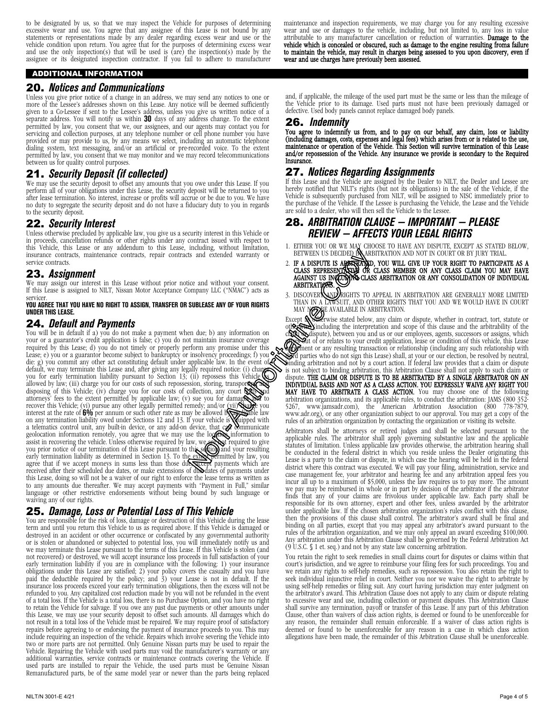to be designated by us, so that we may inspect the Vehicle for purposes of determining excessive wear and use. You agree that any assignee of this Lease is not bound by any statements or representations made by any dealer regarding excess wear and use or the vehicle condition upon return. You agree that for the purposes of determining excess wear<br>and use the only inspection(s) that will be used is (are) the inspection(s) made by the assignee or its designated inspection contractor. If you fail to adhere to manufacturer

#### ADDITIONAL INFORMATION

## 20. *Notices and Communications*

Unless you give prior notice of a change in an address, we may send any notices to one or more of the Lessee's addresses shown on this Lease. Any notice will be deemed sufficiently given to a Co-Lessee if sent to the Lessee's address, unless you give us written notice of a separate address. You will notify us within **30** days of any address change. To the extent permitted by law, you consent that we, our assignees, and our agents may contact you for servicing and collection purposes, at any telephone number or cell phone number you have provided or may provide to us, by any means we select, including an automatic telephone dialing system, text messaging, and/or an artificial or pre-recorded voice. To the extent permitted by law, you consent that we may monitor and we may record telecommunications between us for quality control purposes.

# 21. *Security Deposit (if collected)*

We may use the security deposit to offset any amounts that you owe under this Lease. If you perform all of your obligations under this Lease, the security deposit will be returned to you after lease termination. No interest, increase or profits will accrue or be due to you. We have no duty to segregate the security deposit and do not have a fiduciary duty to you in regards to the security deposit.

## 22. *Security Interest*

Unless otherwise precluded by applicable law, you give us a security interest in this Vehicle or in proceeds, cancellation refunds or other rights under any contract issued with respect to this Vehicle, this Lease or any addendum to this Lease, including, without limitation, insurance contracts, maintenance contracts, repair contracts and extended warranty or service contracts.

# 23. *Assignment*

We may assign our interest in this Lease without prior notice and without your consent. If this Lease is assigned to NILT, Nissan Motor Acceptance Company LLC ("NMAC") acts as servicer.

#### **YOU AGREE THAT YOU HAVE NO RIGHT TO ASSIGN, TRANSFER OR SUBLEASE ANY OF YOUR RIGHTS UNDER THIS LEASE.**

24. *Default and Payments* You will be in default if a) you do not maintain insurance coverage<br>your or a guarantor's credit application is false; c) you do not maintain insurance coverage required by this Lease; d) you do not timely or properly perform any promise under this Lease; e) you or a guarantor become subject to bankruptcy or insolvency proceedings; f) you die: g) you commit any other act constituting default under applicable law. In the event of default, we may terminate this Lease and, after giving any legally required notice: (i) charge you for early termination liability pursuant to Section 13; (ii) repossess this Vehicle **(see A)**<br>allowed by law; (iii) charge you for our costs of such repossession, storing, transpor**togy and** disposing of this Vehicle; (iv) charge you for our costs of collection, any court  $\mathbb{Q}$ attorneys' fees to the extent permitted by applicable law; (v) sue you for damage and to<br>recover this Vehicle; (vi) pursue any other legally permitted remedy; and/or (vii)<br>See you interest at the rate of  $60\mu$  per annum geolocation information remotely, you agree that we may use the location information to assist in recovering the vehicle. Unless otherwise required by law, we arrived required to give<br>you prior notice of our termination of this Lease pursuant to this section) and your resulting early termination liability as determined in Section 13. To the exter permitted by law, you agree that if we accept moneys in sums less than those due, accept payments which are<br>received after their scheduled due dates, or make extensions of due dates of payments under this Lease, doing so will not be a waiver of our right to enforce the lease terms as written as to any amounts due thereafter. We may accept payments with "Payment in Full," similar language or other restrictive endorsements without being bound by such language or waiving any of our rights. The example that the event of the set of the set of the action of the action of the set of the set of the set of the set of the set of the set of the set of the set of the set of the set of the set of the set of the set o

# 25. *Damage, Loss or Potential Loss of This Vehicle*

You are responsible for the risk of loss, damage or destruction of this Vehicle during the lease term and until you return this Vehicle to us as required above. If this Vehicle is damaged or destroyed in an accident or other occurrence or confiscated by any governmental authority or is stolen or abandoned or subjected to potential loss, you will immediately notify us and<br>we may terminate this Lease pursuant to the terms of this Lease. If this Vehicle is stolen (and not recovered) or destroyed, we will accept insurance loss proceeds in full satisfaction of your early termination liability if you are in compliance with the following: 1) your insurance obligations under this Lease are satisfied; 2) your policy covers the casualty and you have paid the deductible required by the policy; and 3) your Lease is not in default. If the insurance loss proceeds exceed your early termination obligations, then the excess will not be refunded to you. Any capitalized cost reduction made by you will not be refunded in the event of a total loss. If the Vehicle is a total loss, there is no Purchase Option, and you have no right to retain the Vehicle for salvage. If you owe any past due payments or other amounts under this Lease, we may use your security deposit to offset such amounts. All damages which do not result in a total loss of the Vehicle must be repaired. We may require proof of satisfactory repairs before agreeing to or endorsing the payment of insurance proceeds to you. This may<br>include requiring an inspection of the vehicle. Repairs which involve severing the Vehicle into two or more parts are not permitted. Only Genuine Nissan parts may be used to repair the Vehicle. Repairing the Vehicle with used parts may void the manufacturer's warranty or any Vehicle. Repairing the Vehicle with the parts may void the manufacturer's covering the Vehicle. If used parts are installed to repair the Vehicle, the used parts must be Genuine Nissan Remanufactured parts, be of the same model year or newer than the parts being replaced

and, if applicable, the mileage of the used part must be the same or less than the mileage of the Vehicle prior to its damage. Used parts must not have been previously damaged or defective. Used body panels cannot replace damaged body panels.

#### 26. *Indemnity*

You agree to indemnify us from, and to pay on our behalf, any claim, loss or liability (including damages, costs, expenses and legal fees) which arises from or is related to the use, maintenance or operation of the Vehicle. This Section will survive termination of this Lease and/or repossession of the Vehicle. Any insurance we provide is secondary to the Required Insurance.

# 27. *Notices Regarding Assignments*

If this Lease and the Vehicle are assigned by the Dealer to NILT, the Dealer and Lessee are hereby notified that NILT's rights (but not its obligations) in the sale of the Vehicle, if the Vehicle is subsequently purchased from NILT, will be assigned to NISC immediately prior to the purchase of the Vehicle. If the Lessee is purchasing the Vehicle, the Lease and the Vehicle are sold to a dealer, who will then sell the Vehicle to the Lessee.

# 28. *ARBITRATION CLAUSE — IMPORTANT — PLEASE REVIEW — AFFECTS YOUR LEGAL RIGHTS*

- 1. EITHER YOU OR WE MAY CHOOSE TO HAVE ANY DISPUTE, EXCEPT AS STATED BELOW, BETWEEN US DECIDED BAARBITRATION AND NOT IN COURT OR BY JURY TRIAL.
- 2. IF A DISPUTE IS ARBITRATIO, YOU WILL GIVE UP YOUR RIGHT TO PARTICIPATE AS A CLASS REPRESENTANYA OR CLASS MEMBER ON ANY CLASS CLAIM YOU MAY HAVE<br>AGAINST US IN**GLUPING** CLASS ARBITRATION OR ANY CONSOLIDATION OF INDIVIDUAL ARBITRATIØ<del>NS</del>.
- 3. DISCOVERY AND RIGHTS TO APPEAL IN ARBITRATION ARE GENERALLY MORE LIMITED THAN IN A LAWSUIT, AND OTHER RIGHTS THAT YOU AND WE WOULD HAVE IN COURT

MAY NOTE AVAILABLE IN ARBITRATION.<br>Cept **AND** FINISH Stated below, any claim or dispute, whether in contract, tort, statute or Except **ANH**erwise stated below, any claim or dispute, whether in contract, tort, statute or<br>ot**herwise** (including the interpretation and scope of this clause and the arbitrability of the clary or dispute), between you and us or our employees, agents, successors or assigns, which as out of or relates to your credit application, lease or condition of this vehicle, this Lease<br>agreement or any resulting transaction or relationship (including any such relationship with  $\delta$ rd parties who do not sign this Lease) shall, at your or our election, be resolved by neutral, binding arbitration and not by a court action. If federal law provides that a claim or dispute is not subject to binding arbitration, this Arbitration Clause shall not apply to such claim or dispute. THE CLAIM OR DISPUTE IS TO BE ARBITRATED BY A SINGLE ARBITRATOR ON AN INDIVIDUAL BASIS AND NOT AS A CLASS ACTION. YOU EXPRESSLY WAIVE ANY RIGHT YOU MAY HAVE TO ARBITRATE A CLASS ACTION. You may choose one of the following arbitration organizations, and its applicable rules, to conduct the arbitration: JAMS (800 352-5267, www.jamsadr.com), the American Arbitration Association (800 778-7879, www.adr.org), or any other organization subject to our approval. You may get a copy of the rules of an arbitration organization by contacting the organization or visiting its website.

Arbitrators shall be attorneys or retired judges and shall be selected pursuant to the applicable rules. The arbitrator shall apply governing substantive law and the applicable statutes of limitation. Unless applicable law provides otherwise, the arbitration hearing shall Lease is a party to the claim or dispute, in which case the hearing will be held in the federal district where this contract was executed. We will pay your filing, administration, service and case management fee, your arbitrator and hearing fee and any arbitration appeal fees you<br>incur all up to a maximum of \$5,000, unless the law requires us to pay more. The amount we pay may be reimbursed in whole or in part by decision of the arbitrator if the arbitrator finds that any of your claims are frivolous under applicable law. Each party shall be finds that any of your claims are frivolous under applicable law. Each party shall be responsible for its own attorney, expert and other fees, unless awarded by the arbitrator under applicable law. If the chosen arbitration organization's rules conflict with this clause, then the provisions of this clause shall control. The arbitrator's award shall be final and binding on all parties, except that you may appeal any arbitrator's award pursuant to the rules of the arbitration organization, and we may only appeal an award exceeding \$100,000. Any arbitration under this Arbitration Clause shall be governed by the Federal Arbitration Act (9 U.S.C. § 1 et. seq.) and not by any state law concerning arbitration.

You retain the right to seek remedies in small claims court for disputes or claims within that court's jurisdiction, and we agree to reimburse your filing fees for such proceedings. You and seek individual injunctive relief in court. Neither you nor we waive the right to arbitrate by using self-help remedies or filing suit. Any court having jurisdiction may enter judgment on the arbitrator's award. This Arbitration Clause does not apply to any claim or dispute relating to excessive wear and use, including collection or payment disputes. This Arbitration Clause shall survive any termination, payoff or transfer of this Lease. If any part of this Arbitration Clause, other than waivers of class action rights, is deemed or found to be unenforceable for any reason, the remainder shall remain enforceable. If a waiver of class action rights is deemed or found to be unenforceable for any reason in a case in which class action allegations have been made, the remainder of this Arbitration Clause shall be unenforceable.